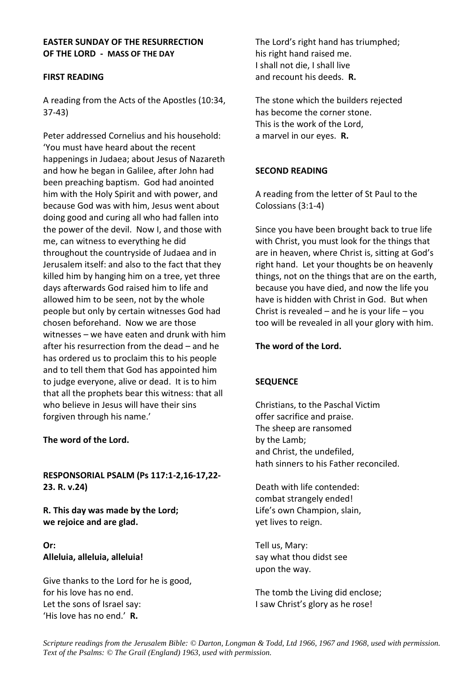#### **EASTER SUNDAY OF THE RESURRECTION OF THE LORD - MASS OF THE DAY**

#### **FIRST READING**

A reading from the Acts of the Apostles (10:34, 37-43)

Peter addressed Cornelius and his household: 'You must have heard about the recent happenings in Judaea; about Jesus of Nazareth and how he began in Galilee, after John had been preaching baptism. God had anointed him with the Holy Spirit and with power, and because God was with him, Jesus went about doing good and curing all who had fallen into the power of the devil. Now I, and those with me, can witness to everything he did throughout the countryside of Judaea and in Jerusalem itself: and also to the fact that they killed him by hanging him on a tree, yet three days afterwards God raised him to life and allowed him to be seen, not by the whole people but only by certain witnesses God had chosen beforehand. Now we are those witnesses – we have eaten and drunk with him after his resurrection from the dead – and he has ordered us to proclaim this to his people and to tell them that God has appointed him to judge everyone, alive or dead. It is to him that all the prophets bear this witness: that all who believe in Jesus will have their sins forgiven through his name.'

# **The word of the Lord.**

**RESPONSORIAL PSALM (Ps 117:1-2,16-17,22- 23. R. v.24)**

**R. This day was made by the Lord; we rejoice and are glad.**

**Or: Alleluia, alleluia, alleluia!**

Give thanks to the Lord for he is good, for his love has no end. Let the sons of Israel say: 'His love has no end.' **R.**

The Lord's right hand has triumphed; his right hand raised me. I shall not die, I shall live and recount his deeds. **R.**

The stone which the builders rejected has become the corner stone. This is the work of the Lord, a marvel in our eyes. **R.**

# **SECOND READING**

A reading from the letter of St Paul to the Colossians (3:1-4)

Since you have been brought back to true life with Christ, you must look for the things that are in heaven, where Christ is, sitting at God's right hand. Let your thoughts be on heavenly things, not on the things that are on the earth, because you have died, and now the life you have is hidden with Christ in God. But when Christ is revealed – and he is your life – you too will be revealed in all your glory with him.

# **The word of the Lord.**

# **SEQUENCE**

Christians, to the Paschal Victim offer sacrifice and praise. The sheep are ransomed by the Lamb; and Christ, the undefiled, hath sinners to his Father reconciled.

Death with life contended: combat strangely ended! Life's own Champion, slain, yet lives to reign.

Tell us, Mary: say what thou didst see upon the way.

The tomb the Living did enclose; I saw Christ's glory as he rose!